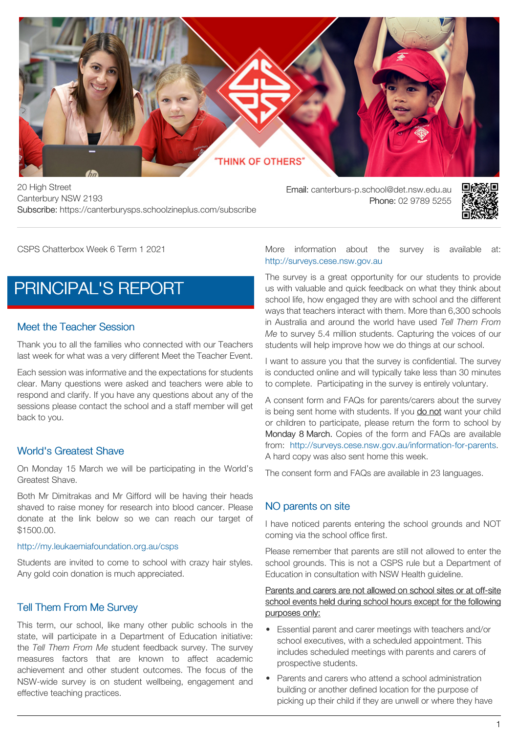### **THINK OF OTHERS**

20 High Street Canterbury NSW 2193 Subscribe: https://canterburysps.schoolzineplus.com/subscribe

Email: canterburs-p.school@det.nsw.edu.au Phone: 02 9789 5255



CSPS Chatterbox Week 6 Term 1 2021

# [PRINCIPAL'S REPORT](https://canterburysps.schoolzineplus.com/newsletter/article/235?skin=1)

#### Meet the Teacher Session

Thank you to all the families who connected with our Teachers last week for what was a very different Meet the Teacher Event.

Each session was informative and the expectations for students clear. Many questions were asked and teachers were able to respond and clarify. If you have any questions about any of the sessions please contact the school and a staff member will get back to you.

#### World's Greatest Shave

On Monday 15 March we will be participating in the World's Greatest Shave.

Both Mr Dimitrakas and Mr Gifford will be having their heads shaved to raise money for research into blood cancer. Please donate at the link below so we can reach our target of \$1500.00.

#### <http://my.leukaemiafoundation.org.au/csps>

Students are invited to come to school with crazy hair styles. Any gold coin donation is much appreciated.

#### Tell Them From Me Survey

This term, our school, like many other public schools in the state, will participate in a Department of Education initiative: the *Tell Them From Me* student feedback survey. The survey measures factors that are known to affect academic achievement and other student outcomes. The focus of the NSW-wide survey is on student wellbeing, engagement and effective teaching practices.

More information about the survey is available at: [http://surveys.cese.nsw.gov.au](http://surveys.cese.nsw.gov.au/information-for-parents)

The survey is a great opportunity for our students to provide us with valuable and quick feedback on what they think about school life, how engaged they are with school and the different ways that teachers interact with them. More than 6,300 schools in Australia and around the world have used *Tell Them From Me* to survey 5.4 million students. Capturing the voices of our students will help improve how we do things at our school.

I want to assure you that the survey is confidential. The survey is conducted online and will typically take less than 30 minutes to complete. Participating in the survey is entirely voluntary.

A consent form and FAQs for parents/carers about the survey is being sent home with students. If you do not want your child or children to participate, please return the form to school by Monday 8 March. Copies of the form and FAQs are available from: [http://surveys.cese.nsw.gov.au/information-for-parents.](http://surveys.cese.nsw.gov.au/information-for-parents) A hard copy was also sent home this week.

The consent form and FAQs are available in 23 languages.

#### NO parents on site

I have noticed parents entering the school grounds and NOT coming via the school office first.

Please remember that parents are still not allowed to enter the school grounds. This is not a CSPS rule but a Department of Education in consultation with NSW Health guideline.

Parents and carers are not allowed on school sites or at off-site school events held during school hours except for the following purposes only:

- Essential parent and carer meetings with teachers and/or school executives, with a scheduled appointment. This includes scheduled meetings with parents and carers of prospective students.
- Parents and carers who attend a school administration building or another defined location for the purpose of picking up their child if they are unwell or where they have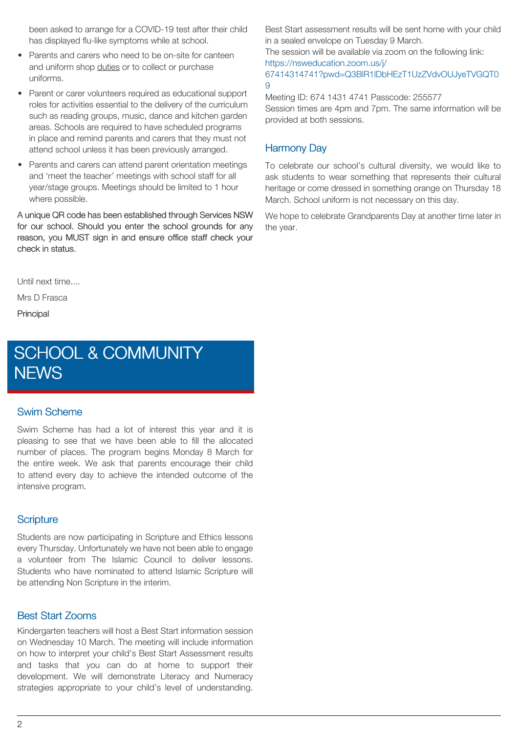been asked to arrange for a COVID-19 test after their child has displayed flu-like symptoms while at school.

- Parents and carers who need to be on-site for canteen and uniform shop duties or to collect or purchase uniforms.
- Parent or carer volunteers required as educational support roles for activities essential to the delivery of the curriculum such as reading groups, music, dance and kitchen garden areas. Schools are required to have scheduled programs in place and remind parents and carers that they must not attend school unless it has been previously arranged.
- Parents and carers can attend parent orientation meetings and 'meet the teacher' meetings with school staff for all year/stage groups. Meetings should be limited to 1 hour where possible.

A unique QR code has been established through Services NSW for our school. Should you enter the school grounds for any reason, you MUST sign in and ensure office staff check your check in status.

Until next time....

Mrs D Frasca

**Principal** 

# [SCHOOL & COMMUNITY](https://canterburysps.schoolzineplus.com/newsletter/article/236?skin=1) **[NEWS](https://canterburysps.schoolzineplus.com/newsletter/article/236?skin=1)**

#### Swim Scheme

Swim Scheme has had a lot of interest this year and it is pleasing to see that we have been able to fill the allocated number of places. The program begins Monday 8 March for the entire week. We ask that parents encourage their child to attend every day to achieve the intended outcome of the intensive program.

#### **Scripture**

Students are now participating in Scripture and Ethics lessons every Thursday. Unfortunately we have not been able to engage a volunteer from The Islamic Council to deliver lessons. Students who have nominated to attend Islamic Scripture will be attending Non Scripture in the interim.

#### Best Start Zooms

Kindergarten teachers will host a Best Start information session on Wednesday 10 March. The meeting will include information on how to interpret your child's Best Start Assessment results and tasks that you can do at home to support their development. We will demonstrate Literacy and Numeracy strategies appropriate to your child's level of understanding. Best Start assessment results will be sent home with your child in a sealed envelope on Tuesday 9 March.

The session will be available via zoom on the following link: [https://nsweducation.zoom.us/j/](https://nsweducation.zoom.us/j/67414314741?pwd=Q3BlR1lDbHEzT1UzZVdvOUJyeTVGQT09)

#### [67414314741?pwd=Q3BlR1lDbHEzT1UzZVdvOUJyeTVGQT0](https://nsweducation.zoom.us/j/67414314741?pwd=Q3BlR1lDbHEzT1UzZVdvOUJyeTVGQT09) [9](https://nsweducation.zoom.us/j/67414314741?pwd=Q3BlR1lDbHEzT1UzZVdvOUJyeTVGQT09)

Meeting ID: 674 1431 4741 Passcode: 255577 Session times are 4pm and 7pm. The same information will be provided at both sessions.

#### Harmony Day

To celebrate our school's cultural diversity, we would like to ask students to wear something that represents their cultural heritage or come dressed in something orange on Thursday 18 March. School uniform is not necessary on this day.

We hope to celebrate Grandparents Day at another time later in the year.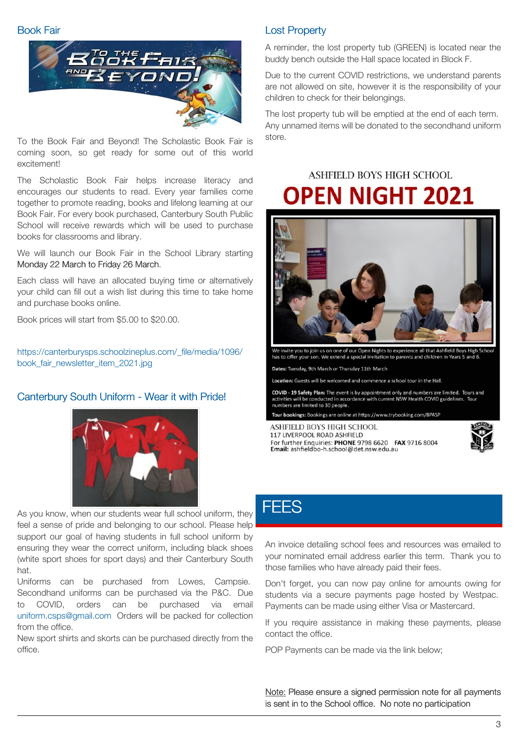#### Book Fair



To the Book Fair and Beyond! The Scholastic Book Fair is coming soon, so get ready for some out of this world excitement!

The Scholastic Book Fair helps increase literacy and encourages our students to read. Every year families come together to promote reading, books and lifelong learning at our Book Fair. For every book purchased, Canterbury South Public School will receive rewards which will be used to purchase books for classrooms and library.

We will launch our Book Fair in the School Library starting Monday 22 March to Friday 26 March.

Each class will have an allocated buying time or alternatively your child can fill out a wish list during this time to take home and purchase books online.

Book prices will start from \$5.00 to \$20.00.

[https://canterburysps.schoolzineplus.com/\\_file/media/1096/](https://canterburysps.schoolzineplus.com/_file/media/1096/book_fair_newsletter_item_2021.jpg) book\_fair\_newsletter\_item\_2021.jpg

#### Canterbury South Uniform - Wear it with Pride!



As you know, when our students wear full school uniform, they feel a sense of pride and belonging to our school. Please help support our goal of having students in full school uniform by ensuring they wear the correct uniform, including black shoes (white sport shoes for sport days) and their Canterbury South hat.

Uniforms can be purchased from Lowes, Campsie. Secondhand uniforms can be purchased via the P&C. Due to COVID, orders can be purchased via email [uniform.csps@gmail.com](mailto:uniform.csps@gmail.com) Orders will be packed for collection from the office.

New sport shirts and skorts can be purchased directly from the office.

#### Lost Property

A reminder, the lost property tub (GREEN) is located near the buddy bench outside the Hall space located in Block F.

Due to the current COVID restrictions, we understand parents are not allowed on site, however it is the responsibility of your children to check for their belongings.

The lost property tub will be emptied at the end of each term. Any unnamed items will be donated to the secondhand uniform store.

## ASHEIELD BOYS HIGH SCHOOL **OPEN NIGHT 2021**



one of our Open Nights to experience all that Ashfield Boys High has to offer your son. We extend a special invitation to parents and children in Years 5 and 6.

Dates: Tuesday, 9th March or Thursday 11th March

Location: Guests will be welcomed and commence a school tour in the Hall.

COVID - 19 Safety Plan: The event is by appointment only and numbers are limited. Tours and<br>activities will be conducted in accordance with current NSW Health COVID guidelines. Tour numbers are limited to 30 people.

ar bookings: Bookings are online at https://www.trybooking.com/BPASP

ASHFIELD BOYS HIGH SCHOOL 117 LIVERPOOL ROAD ASHFIELD For further Enquiries: PHONE 9798 6620 FAX 9716 8004 Email: ashfieldbo-h.school@det.nsw.edu.au



### **[FEES](https://canterburysps.schoolzineplus.com/newsletter/article/237?skin=1)**

An invoice detailing school fees and resources was emailed to your nominated email address earlier this term. Thank you to those families who have already paid their fees.

Don't forget, you can now pay online for amounts owing for students via a secure payments page hosted by Westpac. Payments can be made using either Visa or Mastercard.

If you require assistance in making these payments, please contact the office.

POP Payments can be made via the link below;

Note: Please ensure a signed permission note for all payments is sent in to the School office. No note no participation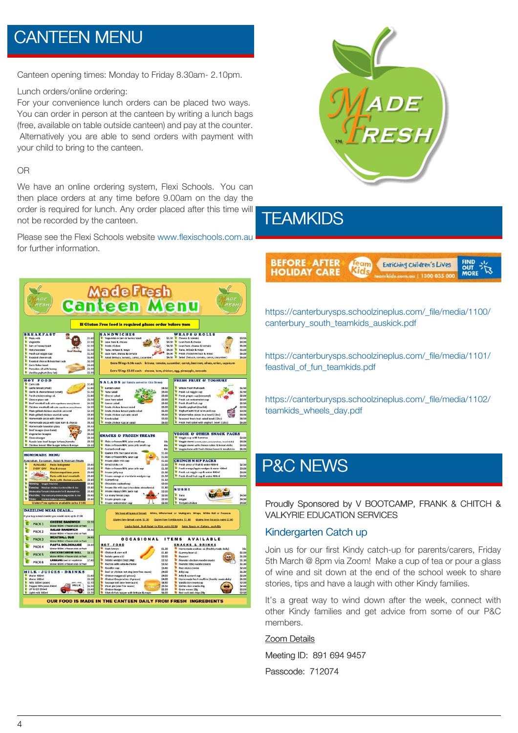# [CANTEEN MENU](https://canterburysps.schoolzineplus.com/newsletter/article/238?skin=1)

Canteen opening times: Monday to Friday 8.30am- 2.10pm.

Lunch orders/online ordering:

For your convenience lunch orders can be placed two ways. You can order in person at the canteen by writing a lunch bags (free, available on table outside canteen) and pay at the counter. Alternatively you are able to send orders with payment with your child to bring to the canteen.

#### OR

We have an online ordering system, Flexi Schools. You can then place orders at any time before 9.00am on the day the order is required for lunch. Any order placed after this time will not be recorded by the canteen.

Please see the Flexi Schools website [www.flexischools.com.au](http://www.flflexischools.com.au) for further information.





## **[TEAMKIDS](https://canterburysps.schoolzineplus.com/newsletter/article/239?skin=1)**

| <b>BEFORE AFTER+</b> |  | Enriching Children's Lives | <b>BUT 34</b> |
|----------------------|--|----------------------------|---------------|
| <b>HOLIDAY CARE</b>  |  |                            |               |

[https://canterburysps.schoolzineplus.com/\\_file/media/1100/](https://canterburysps.schoolzineplus.com/_file/media/1100/canterbury_south_teamkids_auskick.pdf) canterbury\_south\_teamkids\_auskick.pdf

[https://canterburysps.schoolzineplus.com/\\_file/media/1101/](https://canterburysps.schoolzineplus.com/_file/media/1101/feastival_of_fun_teamkids.pdf) feastival\_of\_fun\_teamkids.pdf

[https://canterburysps.schoolzineplus.com/\\_file/media/1102/](https://canterburysps.schoolzineplus.com/_file/media/1102/teamkids_wheels_day.pdf) teamkids\_wheels\_day.pdf

### [P&C NEWS](https://canterburysps.schoolzineplus.com/newsletter/article/240?skin=1)

Proudly Sponsored by V BOOTCAMP, FRANK & CHITCH & VALKYRIE EDUCATION SERVICES

#### Kindergarten Catch up

Join us for our first Kindy catch-up for parents/carers, Friday 5th March @ 8pm via Zoom! Make a cup of tea or pour a glass of wine and sit down at the end of the school week to share stories, tips and have a laugh with other Kindy families.

It's a great way to wind down after the week, connect with other Kindy families and get advice from some of our P&C members.

#### Zoom Details

Meeting ID: 891 694 9457

Passcode: 712074